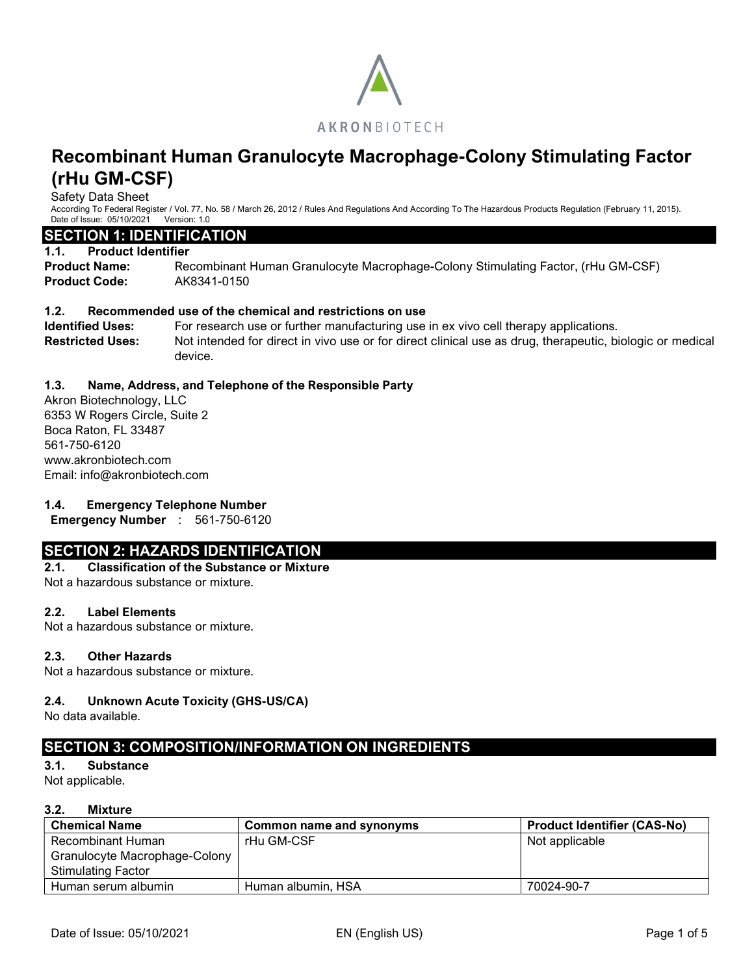

Safety Data Sheet

According To Federal Register / Vol. 77, No. 58 / March 26, 2012 / Rules And Regulations And According To The Hazardous Products Regulation (February 11, 2015). Date of Issue: 05/10/2021 Version: 1.0

#### SECTION 1: IDENTIFICATION

#### 1.1. Product Identifier

Product Name: Recombinant Human Granulocyte Macrophage-Colony Stimulating Factor, (rHu GM-CSF) Product Code: AK8341-0150

### 1.2. Recommended use of the chemical and restrictions on use

Identified Uses: For research use or further manufacturing use in ex vivo cell therapy applications. Restricted Uses: Not intended for direct in vivo use or for direct clinical use as drug, therapeutic, biologic or medical device.

#### 1.3. Name, Address, and Telephone of the Responsible Party

Akron Biotechnology, LLC 6353 W Rogers Circle, Suite 2 Boca Raton, FL 33487 561-750-6120 www.akronbiotech.com Email: info@akronbiotech.com

### 1.4. Emergency Telephone Number

Emergency Number : 561-750-6120

# SECTION 2: HAZARDS IDENTIFICATION

### 2.1. Classification of the Substance or Mixture

Not a hazardous substance or mixture.

#### 2.2. Label Elements

Not a hazardous substance or mixture.

#### 2.3. Other Hazards

Not a hazardous substance or mixture.

### 2.4. Unknown Acute Toxicity (GHS-US/CA)

No data available.

# SECTION 3: COMPOSITION/INFORMATION ON INGREDIENTS

3.1. Substance

Not applicable.

### 3.2. Mixture

| <b>Chemical Name</b>          | Common name and synonyms | <b>Product Identifier (CAS-No)</b> |
|-------------------------------|--------------------------|------------------------------------|
| Recombinant Human             | rHu GM-CSF               | Not applicable                     |
| Granulocyte Macrophage-Colony |                          |                                    |
| Stimulating Factor            |                          |                                    |
| Human serum albumin           | Human albumin, HSA       | 70024-90-7                         |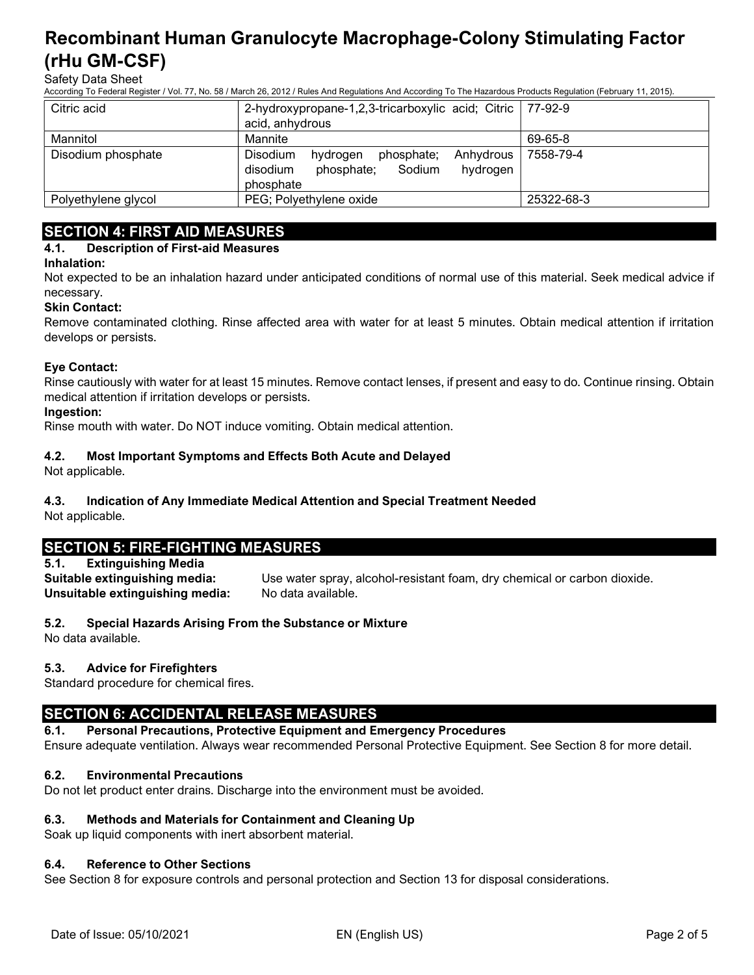Safety Data Sheet

According To Federal Register / Vol. 77, No. 58 / March 26, 2012 / Rules And Regulations And According To The Hazardous Products Regulation (February 11, 2015).

| Citric acid         | 2-hydroxypropane-1,2,3-tricarboxylic acid; Citric   77-92-9                                                  |            |
|---------------------|--------------------------------------------------------------------------------------------------------------|------------|
|                     | acid, anhydrous                                                                                              |            |
| Mannitol            | Mannite                                                                                                      | 69-65-8    |
| Disodium phosphate  | Disodium<br>Anhydrous<br>phosphate;<br>hydrogen<br>Sodium<br>hydrogen<br>phosphate;<br>disodium<br>phosphate | 7558-79-4  |
| Polyethylene glycol | PEG; Polyethylene oxide                                                                                      | 25322-68-3 |

# SECTION 4: FIRST AID MEASURES

#### 4.1. Description of First-aid Measures

#### Inhalation:

Not expected to be an inhalation hazard under anticipated conditions of normal use of this material. Seek medical advice if necessary.

#### Skin Contact:

Remove contaminated clothing. Rinse affected area with water for at least 5 minutes. Obtain medical attention if irritation develops or persists.

#### Eye Contact:

Rinse cautiously with water for at least 15 minutes. Remove contact lenses, if present and easy to do. Continue rinsing. Obtain medical attention if irritation develops or persists.

#### Ingestion:

Rinse mouth with water. Do NOT induce vomiting. Obtain medical attention.

#### 4.2. Most Important Symptoms and Effects Both Acute and Delayed

Not applicable.

#### 4.3. Indication of Any Immediate Medical Attention and Special Treatment Needed

Not applicable.

# SECTION 5: FIRE-FIGHTING MEASURES

## 5.1. Extinguishing Media

Unsuitable extinguishing media: No data available.

Suitable extinguishing media: Use water spray, alcohol-resistant foam, dry chemical or carbon dioxide.

### 5.2. Special Hazards Arising From the Substance or Mixture

No data available.

### 5.3. Advice for Firefighters

Standard procedure for chemical fires.

# SECTION 6: ACCIDENTAL RELEASE MEASURES

#### 6.1. Personal Precautions, Protective Equipment and Emergency Procedures

Ensure adequate ventilation. Always wear recommended Personal Protective Equipment. See Section 8 for more detail.

### 6.2. Environmental Precautions

Do not let product enter drains. Discharge into the environment must be avoided.

# 6.3. Methods and Materials for Containment and Cleaning Up

Soak up liquid components with inert absorbent material.

# 6.4. Reference to Other Sections

See Section 8 for exposure controls and personal protection and Section 13 for disposal considerations.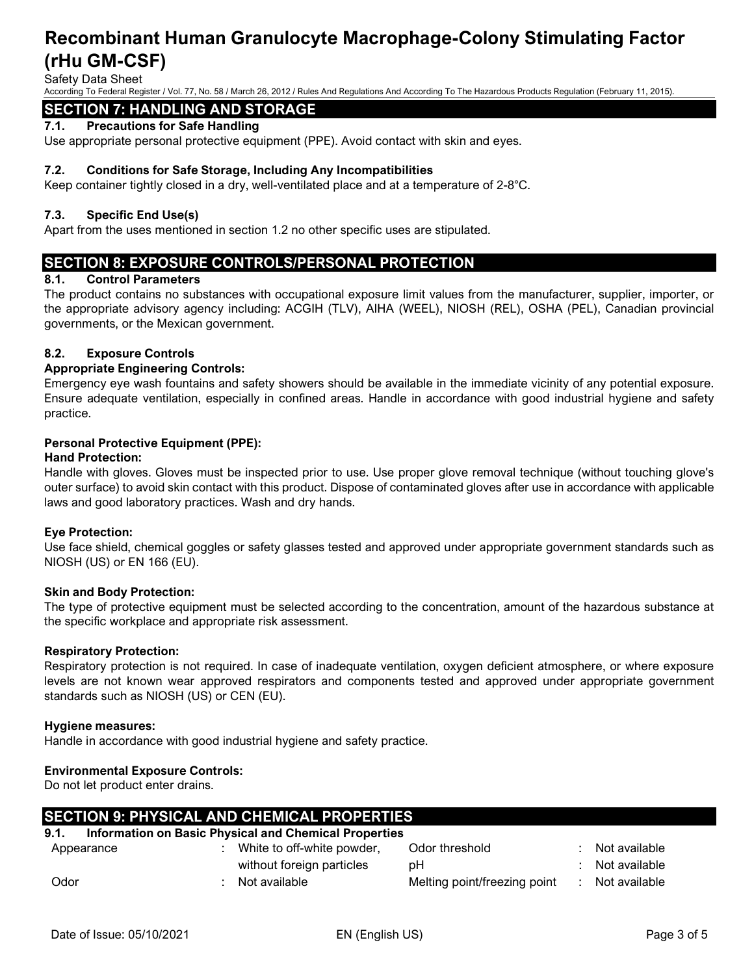Safety Data Sheet

According To Federal Register / Vol. 77, No. 58 / March 26, 2012 / Rules And Regulations And According To The Hazardous Products Regulation (February 11, 2015).

#### SECTION 7: HANDLING AND STORAGE

#### 7.1. Precautions for Safe Handling

Use appropriate personal protective equipment (PPE). Avoid contact with skin and eyes.

#### 7.2. Conditions for Safe Storage, Including Any Incompatibilities

Keep container tightly closed in a dry, well-ventilated place and at a temperature of 2-8°C.

#### 7.3. Specific End Use(s)

Apart from the uses mentioned in section 1.2 no other specific uses are stipulated.

### SECTION 8: EXPOSURE CONTROLS/PERSONAL PROTECTION

#### 8.1. Control Parameters

The product contains no substances with occupational exposure limit values from the manufacturer, supplier, importer, or the appropriate advisory agency including: ACGIH (TLV), AIHA (WEEL), NIOSH (REL), OSHA (PEL), Canadian provincial governments, or the Mexican government.

#### 8.2. Exposure Controls

#### Appropriate Engineering Controls:

Emergency eye wash fountains and safety showers should be available in the immediate vicinity of any potential exposure. Ensure adequate ventilation, especially in confined areas. Handle in accordance with good industrial hygiene and safety practice.

#### Personal Protective Equipment (PPE):

#### Hand Protection:

Handle with gloves. Gloves must be inspected prior to use. Use proper glove removal technique (without touching glove's outer surface) to avoid skin contact with this product. Dispose of contaminated gloves after use in accordance with applicable laws and good laboratory practices. Wash and dry hands.

#### Eye Protection:

Use face shield, chemical goggles or safety glasses tested and approved under appropriate government standards such as NIOSH (US) or EN 166 (EU).

#### Skin and Body Protection:

The type of protective equipment must be selected according to the concentration, amount of the hazardous substance at the specific workplace and appropriate risk assessment.

#### Respiratory Protection:

Respiratory protection is not required. In case of inadequate ventilation, oxygen deficient atmosphere, or where exposure levels are not known wear approved respirators and components tested and approved under appropriate government standards such as NIOSH (US) or CEN (EU).

#### Hygiene measures:

Handle in accordance with good industrial hygiene and safety practice.

#### Environmental Exposure Controls:

Do not let product enter drains.

# SECTION 9: PHYSICAL AND CHEMICAL PROPERTIES

# 9.1. Information on Basic Physical and Chemical Properties

| Appearance | White to off-white powder, | Odor threshold               | Not available |
|------------|----------------------------|------------------------------|---------------|
|            | without foreign particles  | рH                           | Not available |
| Odor       | Not available              | Melting point/freezing point | Not available |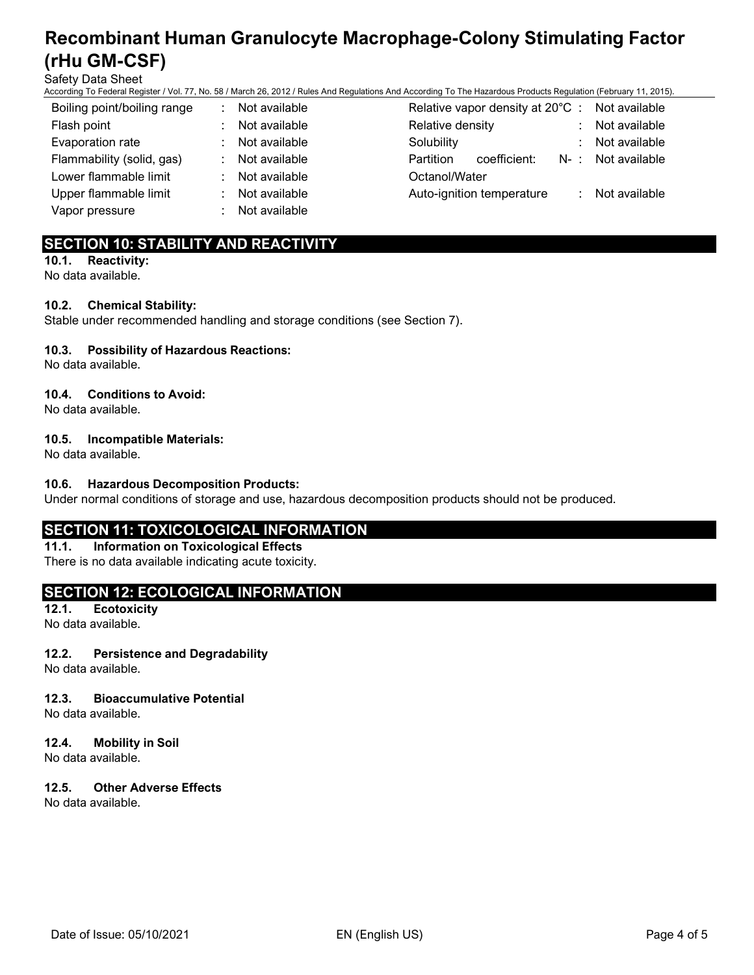Safety Data Sheet

According To Federal Register / Vol. 77, No. 58 / March 26, 2012 / Rules And Regulations And According To The Hazardous Products Regulation (February 11, 2015).

| Boiling point/boiling range | Not available | Relative vapor density at 20°C : Not available |   |                   |
|-----------------------------|---------------|------------------------------------------------|---|-------------------|
| Flash point                 | Not available | Relative density                               | ÷ | Not available     |
| Evaporation rate            | Not available | Solubility                                     | ÷ | Not available     |
| Flammability (solid, gas)   | Not available | Partition<br>coefficient:                      |   | N-: Not available |
| Lower flammable limit       | Not available | Octanol/Water                                  |   |                   |
| Upper flammable limit       | Not available | Auto-ignition temperature                      | ÷ | Not available     |
| Vapor pressure              | Not available |                                                |   |                   |

# SECTION 10: STABILITY AND REACTIVITY

10.1. Reactivity: No data available.

#### 10.2. Chemical Stability:

Stable under recommended handling and storage conditions (see Section 7).

#### 10.3. Possibility of Hazardous Reactions:

No data available.

#### 10.4. Conditions to Avoid:

No data available.

#### 10.5. Incompatible Materials:

No data available.

#### 10.6. Hazardous Decomposition Products:

Under normal conditions of storage and use, hazardous decomposition products should not be produced.

# SECTION 11: TOXICOLOGICAL INFORMATION

11.1. Information on Toxicological Effects There is no data available indicating acute toxicity.

# SECTION 12: ECOLOGICAL INFORMATION

12.1. Ecotoxicity No data available.

#### 12.2. Persistence and Degradability

No data available.

#### 12.3. Bioaccumulative Potential

No data available.

#### 12.4. Mobility in Soil

No data available.

### 12.5. Other Adverse Effects

No data available.